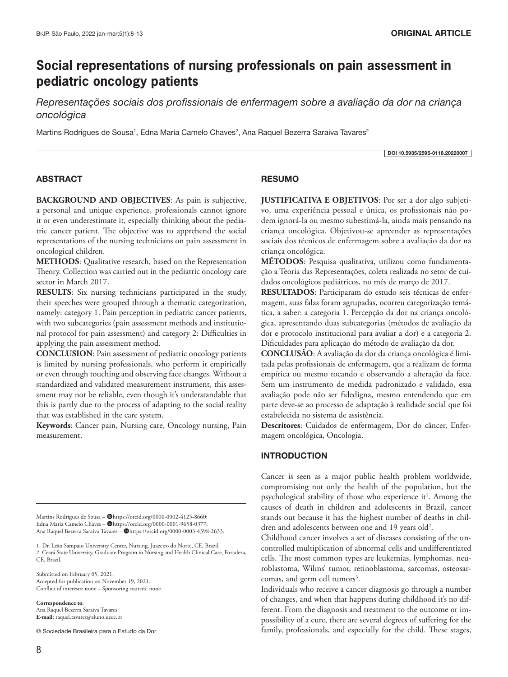# **Social representations of nursing professionals on pain assessment in pediatric oncology patients**

*Representações sociais dos profissionais de enfermagem sobre a avaliação da dor na criança oncológica*

Martins Rodrigues de Sousa<sup>1</sup>, Edna Maria Camelo Chaves<sup>2</sup>, Ana Raquel Bezerra Saraiva Tavares<sup>2</sup>

DOI 10.5935/2595-0118.20220007

# ABSTRACT

**BACKGROUND AND OBJECTIVES**: As pain is subjective, a personal and unique experience, professionals cannot ignore it or even underestimate it, especially thinking about the pediatric cancer patient. The objective was to apprehend the social representations of the nursing technicians on pain assessment in oncological children.

**METHODS**: Qualitative research, based on the Representation Theory. Collection was carried out in the pediatric oncology care sector in March 2017.

**RESULTS**: Six nursing technicians participated in the study, their speeches were grouped through a thematic categorization, namely: category 1. Pain perception in pediatric cancer patients, with two subcategories (pain assessment methods and institutional protocol for pain assessment) and category 2: Difficulties in applying the pain assessment method.

**CONCLUSION**: Pain assessment of pediatric oncology patients is limited by nursing professionals, who perform it empirically or even through touching and observing face changes. Without a standardized and validated measurement instrument, this assessment may not be reliable, even though it's understandable that this is partly due to the process of adapting to the social reality that was established in the care system.

**Keywords**: Cancer pain, Nursing care, Oncology nursing, Pain measurement.

Martins Rodrigues de Sousa - @https://orcid.org/0000-0002-4125-8660; Edna Maria Camelo Chaves - @https://orcid.org/0000-0001-9658-0377; Ana Raquel Bezerra Saraiva Tavares – **@https://orcid.org/0000-0003-4398-2633**.

1. Dr. Leão Sampaio University Center, Nursing, Juazeiro do Norte, CE, Brazil. 2. Ceará State University, Graduate Program in Nursing and Health Clinical Care, Fortaleza, CE, Brazil.

Submitted on February 05, 2021. Accepted for publication on November 19, 2021. Conflict of interests: none – Sponsoring sources: none.

**Correspondence to**: Ana Raquel Bezerra Saraiva Tavares **E-mail**: raquel.tavares@aluno.uece.br

© Sociedade Brasileira para o Estudo da Dor

## **RESUMO**

**JUSTIFICATIVA E OBJETIVOS**: Por ser a dor algo subjetivo, uma experiência pessoal e única, os profissionais não podem ignorá-la ou mesmo subestimá-la, ainda mais pensando na criança oncológica. Objetivou-se apreender as representações sociais dos técnicos de enfermagem sobre a avaliação da dor na criança oncológica.

**MÉTODOS**: Pesquisa qualitativa, utilizou como fundamentação a Teoria das Representações, coleta realizada no setor de cuidados oncológicos pediátricos, no mês de março de 2017.

**RESULTADOS**: Participaram do estudo seis técnicas de enfermagem, suas falas foram agrupadas, ocorreu categorização temática, a saber: a categoria 1. Percepção da dor na criança oncológica, apresentando duas subcategorias (métodos de avaliação da dor e protocolo institucional para avaliar a dor) e a categoria 2. Dificuldades para aplicação do método de avaliação da dor.

**CONCLUSÃO**: A avaliação da dor da criança oncológica é limitada pelas profissionais de enfermagem, que a realizam de forma empírica ou mesmo tocando e observando a alteração da face. Sem um instrumento de medida padronizado e validado, essa avaliação pode não ser fidedigna, mesmo entendendo que em parte deve-se ao processo de adaptação à realidade social que foi estabelecida no sistema de assistência.

**Descritores**: Cuidados de enfermagem, Dor do câncer, Enfermagem oncológica, Oncologia.

#### INTRODUCTION

Cancer is seen as a major public health problem worldwide, compromising not only the health of the population, but the psychological stability of those who experience it<sup>1</sup>. Among the causes of death in children and adolescents in Brazil, cancer stands out because it has the highest number of deaths in children and adolescents between one and 19 years old<sup>2</sup>.

Childhood cancer involves a set of diseases consisting of the uncontrolled multiplication of abnormal cells and undifferentiated cells. The most common types are leukemias, lymphomas, neuroblastoma, Wilms' tumor, retinoblastoma, sarcomas, osteosarcomas, and germ cell tumors<sup>3</sup>.

Individuals who receive a cancer diagnosis go through a number of changes, and when that happens during childhood it's no different. From the diagnosis and treatment to the outcome or impossibility of a cure, there are several degrees of suffering for the family, professionals, and especially for the child. These stages,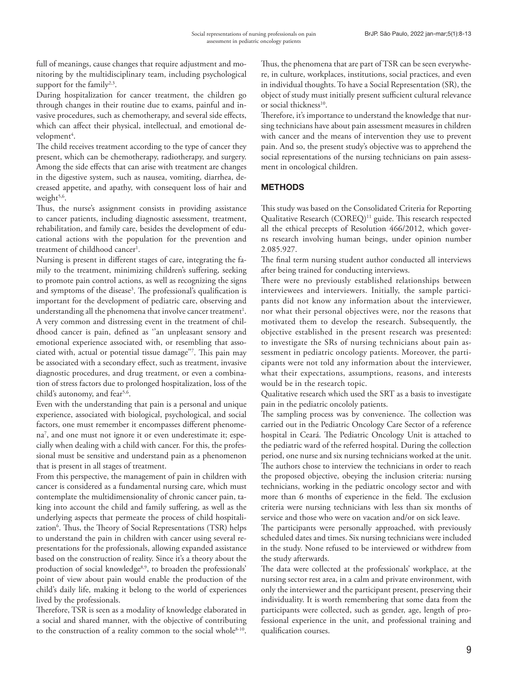full of meanings, cause changes that require adjustment and monitoring by the multidisciplinary team, including psychological support for the family $2,3$ .

During hospitalization for cancer treatment, the children go through changes in their routine due to exams, painful and invasive procedures, such as chemotherapy, and several side effects, which can affect their physical, intellectual, and emotional development<sup>4</sup>.

The child receives treatment according to the type of cancer they present, which can be chemotherapy, radiotherapy, and surgery. Among the side effects that can arise with treatment are changes in the digestive system, such as nausea, vomiting, diarrhea, decreased appetite, and apathy, with consequent loss of hair and weight<sup>5,6</sup>.

Thus, the nurse's assignment consists in providing assistance to cancer patients, including diagnostic assessment, treatment, rehabilitation, and family care, besides the development of educational actions with the population for the prevention and treatment of childhood cancer<sup>1</sup>.

Nursing is present in different stages of care, integrating the family to the treatment, minimizing children's suffering, seeking to promote pain control actions, as well as recognizing the signs and symptoms of the disease<sup>3</sup>. The professional's qualification is important for the development of pediatric care, observing and understanding all the phenomena that involve cancer treatment $^{\rm l}$ . A very common and distressing event in the treatment of childhood cancer is pain, defined as ''an unpleasant sensory and emotional experience associated with, or resembling that associated with, actual or potential tissue damage''7 . This pain may be associated with a secondary effect, such as treatment, invasive diagnostic procedures, and drug treatment, or even a combination of stress factors due to prolonged hospitalization, loss of the child's autonomy, and fear<sup>5,6</sup>.

Even with the understanding that pain is a personal and unique experience, associated with biological, psychological, and social factors, one must remember it encompasses different phenomena7 , and one must not ignore it or even underestimate it; especially when dealing with a child with cancer. For this, the professional must be sensitive and understand pain as a phenomenon that is present in all stages of treatment.

From this perspective, the management of pain in children with cancer is considered as a fundamental nursing care, which must contemplate the multidimensionality of chronic cancer pain, taking into account the child and family suffering, as well as the underlying aspects that permeate the process of child hospitalization<sup>6</sup>. Thus, the Theory of Social Representations (TSR) helps to understand the pain in children with cancer using several representations for the professionals, allowing expanded assistance based on the construction of reality. Since it's a theory about the production of social knowledge<sup>8,9</sup>, to broaden the professionals' point of view about pain would enable the production of the child's daily life, making it belong to the world of experiences lived by the professionals.

Therefore, TSR is seen as a modality of knowledge elaborated in a social and shared manner, with the objective of contributing to the construction of a reality common to the social whole<sup>8-10</sup>.

Thus, the phenomena that are part of TSR can be seen everywhere, in culture, workplaces, institutions, social practices, and even in individual thoughts. To have a Social Representation (SR), the object of study must initially present sufficient cultural relevance or social thickness<sup>10</sup>.

Therefore, it's importance to understand the knowledge that nursing technicians have about pain assessment measures in children with cancer and the means of intervention they use to prevent pain. And so, the present study's objective was to apprehend the social representations of the nursing technicians on pain assessment in oncological children.

# **METHODS**

This study was based on the Consolidated Criteria for Reporting Qualitative Research (COREQ)<sup>11</sup> guide. This research respected all the ethical precepts of Resolution 466/2012, which governs research involving human beings, under opinion number 2.085.927.

The final term nursing student author conducted all interviews after being trained for conducting interviews.

There were no previously established relationships between interviewees and interviewers. Initially, the sample participants did not know any information about the interviewer, nor what their personal objectives were, nor the reasons that motivated them to develop the research. Subsequently, the objective established in the present research was presented: to investigate the SRs of nursing technicians about pain assessment in pediatric oncology patients. Moreover, the participants were not told any information about the interviewer, what their expectations, assumptions, reasons, and interests would be in the research topic.

Qualitative research which used the SRT as a basis to investigate pain in the pediatric oncololy patients.

The sampling process was by convenience. The collection was carried out in the Pediatric Oncology Care Sector of a reference hospital in Ceará. The Pediatric Oncology Unit is attached to the pediatric ward of the referred hospital. During the collection period, one nurse and six nursing technicians worked at the unit. The authors chose to interview the technicians in order to reach the proposed objective, obeying the inclusion criteria: nursing technicians, working in the pediatric oncology sector and with more than 6 months of experience in the field. The exclusion criteria were nursing technicians with less than six months of service and those who were on vacation and/or on sick leave.

The participants were personally approached, with previously scheduled dates and times. Six nursing technicians were included in the study. None refused to be interviewed or withdrew from the study afterwards.

The data were collected at the professionals' workplace, at the nursing sector rest area, in a calm and private environment, with only the interviewer and the participant present, preserving their individuality. It is worth remembering that some data from the participants were collected, such as gender, age, length of professional experience in the unit, and professional training and qualification courses.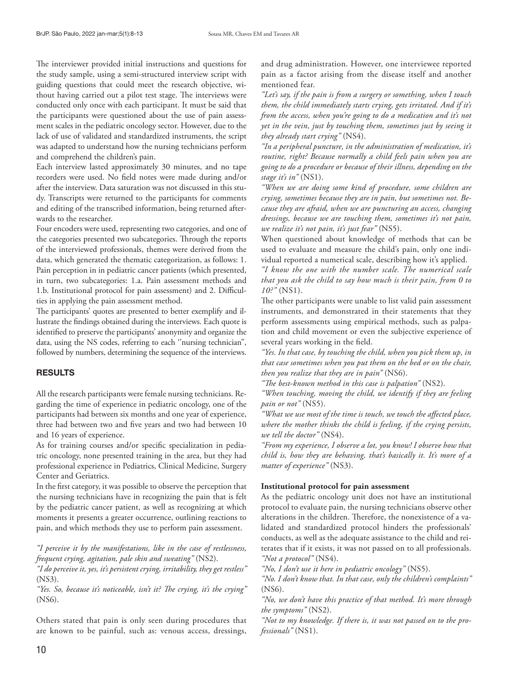The interviewer provided initial instructions and questions for the study sample, using a semi-structured interview script with guiding questions that could meet the research objective, without having carried out a pilot test stage. The interviews were conducted only once with each participant. It must be said that the participants were questioned about the use of pain assessment scales in the pediatric oncology sector. However, due to the lack of use of validated and standardized instruments, the script was adapted to understand how the nursing technicians perform and comprehend the children's pain.

Each interview lasted approximately 30 minutes, and no tape recorders were used. No field notes were made during and/or after the interview. Data saturation was not discussed in this study. Transcripts were returned to the participants for comments and editing of the transcribed information, being returned afterwards to the researcher.

Four encoders were used, representing two categories, and one of the categories presented two subcategories. Through the reports of the interviewed professionals, themes were derived from the data, which generated the thematic categorization, as follows: 1. Pain perception in in pediatric cancer patients (which presented, in turn, two subcategories: 1.a. Pain assessment methods and 1.b. Institutional protocol for pain assessment) and 2. Difficulties in applying the pain assessment method.

The participants' quotes are presented to better exemplify and illustrate the findings obtained during the interviews. Each quote is identified to preserve the participants' anonymity and organize the data, using the NS codes, referring to each ''nursing technician'', followed by numbers, determining the sequence of the interviews.

## **RESULTS**

All the research participants were female nursing technicians. Regarding the time of experience in pediatric oncology, one of the participants had between six months and one year of experience, three had between two and five years and two had between 10 and 16 years of experience.

As for training courses and/or specific specialization in pediatric oncology, none presented training in the area, but they had professional experience in Pediatrics, Clinical Medicine, Surgery Center and Geriatrics.

In the first category, it was possible to observe the perception that the nursing technicians have in recognizing the pain that is felt by the pediatric cancer patient, as well as recognizing at which moments it presents a greater occurrence, outlining reactions to pain, and which methods they use to perform pain assessment.

*"I perceive it by the manifestations, like in the case of restlessness, frequent crying, agitation, pale skin and sweating"* (NS2).

*"I do perceive it, yes, it's persistent crying, irritability, they get restless"* (NS3).

*"Yes. So, because it's noticeable, isn't it? The crying, it's the crying"*  (NS6).

Others stated that pain is only seen during procedures that are known to be painful, such as: venous access, dressings,

and drug administration. However, one interviewee reported pain as a factor arising from the disease itself and another mentioned fear.

*"Let's say, if the pain is from a surgery or something, when I touch them, the child immediately starts crying, gets irritated. And if it's from the access, when you're going to do a medication and it's not yet in the vein, just by touching them, sometimes just by seeing it they already start crying"* (NS4).

*"In a peripheral puncture, in the administration of medication, it's routine, right? Because normally a child feels pain when you are going to do a procedure or because of their illness, depending on the stage it's in"* (NS1).

*"When we are doing some kind of procedure, some children are crying, sometimes because they are in pain, but sometimes not. Because they are afraid, when we are puncturing an access, changing dressings, because we are touching them, sometimes it's not pain, we realize it's not pain, it's just fear"* (NS5).

When questioned about knowledge of methods that can be used to evaluate and measure the child's pain, only one individual reported a numerical scale, describing how it's applied.

*"I know the one with the number scale. The numerical scale that you ask the child to say how much is their pain, from 0 to 10?"* (NS1).

The other participants were unable to list valid pain assessment instruments, and demonstrated in their statements that they perform assessments using empirical methods, such as palpation and child movement or even the subjective experience of several years working in the field.

*"Yes. In that case, by touching the child, when you pick them up, in that case sometimes when you put them on the bed or on the chair, then you realize that they are in pain"* (NS6).

*"The best-known method in this case is palpation"* (NS2).

*"When touching, moving the child, we identify if they are feeling pain or not"* (NS5).

*"What we use most of the time is touch, we touch the affected place, where the mother thinks the child is feeling, if the crying persists, we tell the doctor"* (NS4).

*"From my experience, I observe a lot, you know! I observe how that child is, how they are behaving, that's basically it. It's more of a matter of experience"* (NS3).

#### **Institutional protocol for pain assessment**

As the pediatric oncology unit does not have an institutional protocol to evaluate pain, the nursing technicians observe other alterations in the children. Therefore, the nonexistence of a validated and standardized protocol hinders the professionals' conducts, as well as the adequate assistance to the child and reiterates that if it exists, it was not passed on to all professionals. *"Not a protocol"* (NS4).

*"No, I don't use it here in pediatric oncology"* (NS5).

*"No. I don't know that. In that case, only the children's complaints"*  (NS6).

*"No, we don't have this practice of that method. It's more through the symptoms"* (NS2).

*"Not to my knowledge. If there is, it was not passed on to the professionals"* (NS1).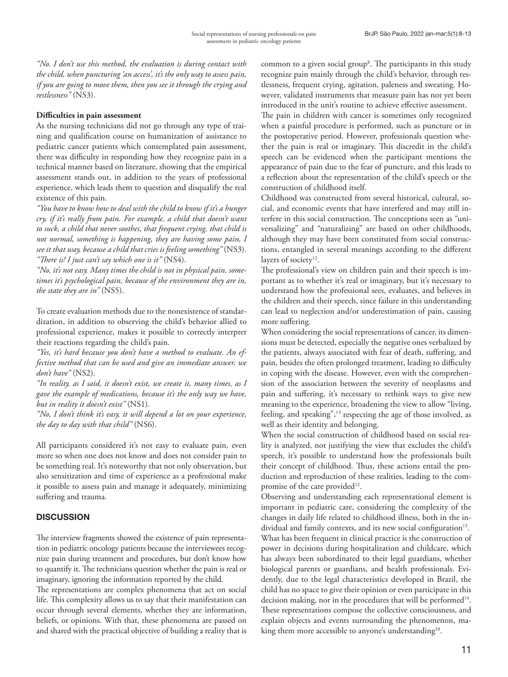*"No. I don't use this method, the evaluation is during contact with the child, when puncturing 'an access', it's the only way to assess pain, if you are going to move them, then you see it through the crying and restlessness"* (NS3).

## **Difficulties in pain assessment**

As the nursing technicians did not go through any type of training and qualification course on humanization of assistance to pediatric cancer patients which contemplated pain assessment, there was difficulty in responding how they recognize pain in a technical manner based on literature, showing that the empirical assessment stands out, in addition to the years of professional experience, which leads them to question and disqualify the real existence of this pain.

*"You have to know how to deal with the child to know if it's a hunger cry, if it's really from pain. For example, a child that doesn't want to suck, a child that never soothes, that frequent crying, that child is not normal, something is happening, they are having some pain, I see it that way, because a child that cries is feeling something"* (NS3). *"There is! I just can't say which one is it"* (NS4).

*"No, it's not easy. Many times the child is not in physical pain, sometimes it's psychological pain, because of the environment they are in, the state they are in"* (NS5).

To create evaluation methods due to the nonexistence of standardization, in addition to observing the child's behavior allied to professional experience, makes it possible to correctly interpret their reactions regarding the child's pain.

*"Yes, it's hard because you don't have a method to evaluate. An effective method that can be used and give an immediate answer, we don't have"* (NS2).

*"In reality, as I said, it doesn't exist, we create it, many times, as I gave the example of medications, because it's the only way we have, but in reality it doesn't exist"* (NS1).

*"No, I don't think it's easy, it will depend a lot on your experience, the day to day with that child"* (NS6).

All participants considered it's not easy to evaluate pain, even more so when one does not know and does not consider pain to be something real. It's noteworthy that not only observation, but also sensitization and time of experience as a professional make it possible to assess pain and manage it adequately, minimizing suffering and trauma.

# **DISCUSSION**

The interview fragments showed the existence of pain representation in pediatric oncology patients because the interviewees recognize pain during treatment and procedures, but don't know how to quantify it. The technicians question whether the pain is real or imaginary, ignoring the information reported by the child.

The representations are complex phenomena that act on social life. This complexity allows us to say that their manifestation can occur through several elements, whether they are information, beliefs, or opinions. With that, these phenomena are passed on and shared with the practical objective of building a reality that is

common to a given social group<sup>8</sup>. The participants in this study recognize pain mainly through the child's behavior, through restlessness, frequent crying, agitation, paleness and sweating. However, validated instruments that measure pain has not yet been introduced in the unit's routine to achieve effective assessment.

The pain in children with cancer is sometimes only recognized when a painful procedure is performed, such as puncture or in the postoperative period. However, professionals question whether the pain is real or imaginary. This discredit in the child's speech can be evidenced when the participant mentions the appearance of pain due to the fear of puncture, and this leads to a reflection about the representation of the child's speech or the construction of childhood itself.

Childhood was constructed from several historical, cultural, social, and economic events that have interfered and may still interfere in this social construction. The conceptions seen as "universalizing" and "naturalizing" are based on other childhoods, although they may have been constituted from social constructions, entangled in several meanings according to the different layers of society<sup>12</sup>.

The professional's view on children pain and their speech is important as to whether it's real or imaginary, but it's necessary to understand how the professional sees, evaluates, and believes in the children and their speech, since failure in this understanding can lead to neglection and/or underestimation of pain, causing more suffering.

When considering the social representations of cancer, its dimensions must be detected, especially the negative ones verbalized by the patients, always associated with fear of death, suffering, and pain, besides the often prolonged treatment, leading to difficulty in coping with the disease. However, even with the comprehension of the association between the severity of neoplasms and pain and suffering, it's necessary to rethink ways to give new meaning to the experience, broadening the view to allow "living, feeling, and speaking",13 respecting the age of those involved, as well as their identity and belonging.

When the social construction of childhood based on social reality is analyzed, not justifying the view that excludes the child's speech, it's possible to understand how the professionals built their concept of childhood. Thus, these actions entail the production and reproduction of these realities, leading to the compromise of the care provided<sup>12</sup>.

Observing and understanding each representational element is important in pediatric care, considering the complexity of the changes in daily life related to childhood illness, both in the individual and family contexts, and its new social configuration<sup>13</sup>. What has been frequent in clinical practice is the construction of power in decisions during hospitalization and childcare, which has always been subordinated to their legal guardians, whether biological parents or guardians, and health professionals. Evidently, due to the legal characteristics developed in Brazil, the child has no space to give their opinion or even participate in this decision making, nor in the procedures that will be performed<sup>14</sup>. These representations compose the collective consciousness, and explain objects and events surrounding the phenomenon, making them more accessible to anyone's understanding<sup>10</sup>.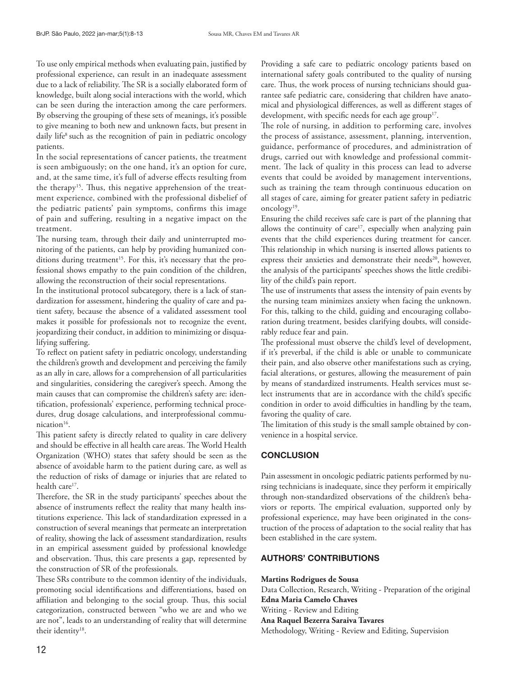To use only empirical methods when evaluating pain, justified by professional experience, can result in an inadequate assessment due to a lack of reliability. The SR is a socially elaborated form of knowledge, built along social interactions with the world, which can be seen during the interaction among the care performers. By observing the grouping of these sets of meanings, it's possible to give meaning to both new and unknown facts, but present in daily life<sup>8</sup> such as the recognition of pain in pediatric oncology patients.

In the social representations of cancer patients, the treatment is seen ambiguously; on the one hand, it's an option for cure, and, at the same time, it's full of adverse effects resulting from the therapy<sup>15</sup>. Thus, this negative apprehension of the treatment experience, combined with the professional disbelief of the pediatric patients' pain symptoms, confirms this image of pain and suffering, resulting in a negative impact on the treatment.

The nursing team, through their daily and uninterrupted monitoring of the patients, can help by providing humanized conditions during treatment<sup>15</sup>. For this, it's necessary that the professional shows empathy to the pain condition of the children, allowing the reconstruction of their social representations.

In the institutional protocol subcategory, there is a lack of standardization for assessment, hindering the quality of care and patient safety, because the absence of a validated assessment tool makes it possible for professionals not to recognize the event, jeopardizing their conduct, in addition to minimizing or disqualifying suffering.

To reflect on patient safety in pediatric oncology, understanding the children's growth and development and perceiving the family as an ally in care, allows for a comprehension of all particularities and singularities, considering the caregiver's speech. Among the main causes that can compromise the children's safety are: identification, professionals' experience, performing technical procedures, drug dosage calculations, and interprofessional communication<sup>16</sup>.

This patient safety is directly related to quality in care delivery and should be effective in all health care areas. The World Health Organization (WHO) states that safety should be seen as the absence of avoidable harm to the patient during care, as well as the reduction of risks of damage or injuries that are related to health care<sup>17</sup>.

Therefore, the SR in the study participants' speeches about the absence of instruments reflect the reality that many health institutions experience. This lack of standardization expressed in a construction of several meanings that permeate an interpretation of reality, showing the lack of assessment standardization, results in an empirical assessment guided by professional knowledge and observation. Thus, this care presents a gap, represented by the construction of SR of the professionals.

These SRs contribute to the common identity of the individuals, promoting social identifications and differentiations, based on affiliation and belonging to the social group. Thus, this social categorization, constructed between "who we are and who we are not", leads to an understanding of reality that will determine their identity<sup>18</sup>.

Providing a safe care to pediatric oncology patients based on international safety goals contributed to the quality of nursing care. Thus, the work process of nursing technicians should guarantee safe pediatric care, considering that children have anatomical and physiological differences, as well as different stages of development, with specific needs for each age group<sup>17</sup>.

The role of nursing, in addition to performing care, involves the process of assistance, assessment, planning, intervention, guidance, performance of procedures, and administration of drugs, carried out with knowledge and professional commitment. The lack of quality in this process can lead to adverse events that could be avoided by management interventions, such as training the team through continuous education on all stages of care, aiming for greater patient safety in pediatric oncology<sup>19</sup>.

Ensuring the child receives safe care is part of the planning that allows the continuity of care<sup>17</sup>, especially when analyzing pain events that the child experiences during treatment for cancer. This relationship in which nursing is inserted allows patients to express their anxieties and demonstrate their needs<sup>20</sup>, however, the analysis of the participants' speeches shows the little credibility of the child's pain report.

The use of instruments that assess the intensity of pain events by the nursing team minimizes anxiety when facing the unknown. For this, talking to the child, guiding and encouraging collaboration during treatment, besides clarifying doubts, will considerably reduce fear and pain.

The professional must observe the child's level of development, if it's preverbal, if the child is able or unable to communicate their pain, and also observe other manifestations such as crying, facial alterations, or gestures, allowing the measurement of pain by means of standardized instruments. Health services must select instruments that are in accordance with the child's specific condition in order to avoid difficulties in handling by the team, favoring the quality of care.

The limitation of this study is the small sample obtained by convenience in a hospital service.

# **CONCLUSION**

Pain assessment in oncologic pediatric patients performed by nursing technicians is inadequate, since they perform it empirically through non-standardized observations of the children's behaviors or reports. The empirical evaluation, supported only by professional experience, may have been originated in the construction of the process of adaptation to the social reality that has been established in the care system.

# AUTHORS' CONTRIBUTIONS

**Martins Rodrigues de Sousa** Data Collection, Research, Writing - Preparation of the original **Edna Maria Camelo Chaves** Writing - Review and Editing **Ana Raquel Bezerra Saraiva Tavares** Methodology, Writing - Review and Editing, Supervision